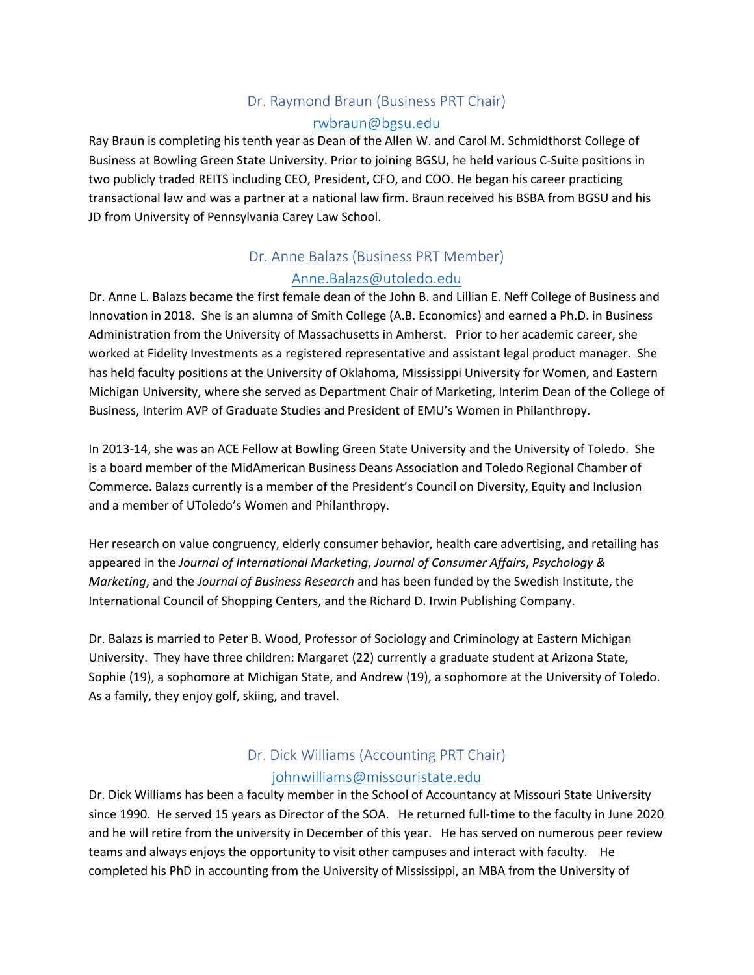### Dr. Raymond Braun (Business PRT Chair) [rwbraun@bgsu.edu](mailto:rwbraun@bgsu.edu)

Ray Braun is completing his tenth year as Dean of the Allen W. and Carol M. Schmidthorst College of Business at Bowling Green State University. Prior to joining BGSU, he held various C-Suite positions in two publicly traded REITS including CEO, President, CFO, and COO. He began his career practicing transactional law and was a partner at a national law firm. Braun received his BSBA from BGSU and his JD from University of Pennsylvania Carey Law School.

## Dr. Anne Balazs (Business PRT Member)

#### [Anne.Balazs@utoledo.edu](mailto:Anne.Balazs@utoledo.edu)

Dr. Anne L. Balazs became the first female dean of the John B. and Lillian E. Neff College of Business and Innovation in 2018. She is an alumna of Smith College (A.B. Economics) and earned a Ph.D. in Business Administration from the University of Massachusetts in Amherst. Prior to her academic career, she worked at Fidelity Investments as a registered representative and assistant legal product manager. She has held faculty positions at the University of Oklahoma, Mississippi University for Women, and Eastern Michigan University, where she served as Department Chair of Marketing, Interim Dean of the College of Business, Interim AVP of Graduate Studies and President of EMU's Women in Philanthropy.

In 2013-14, she was an ACE Fellow at Bowling Green State University and the University of Toledo. She is a board member of the MidAmerican Business Deans Association and Toledo Regional Chamber of Commerce. Balazs currently is a member of the President's Council on Diversity, Equity and Inclusion and a member of UToledo's Women and Philanthropy.

Her research on value congruency, elderly consumer behavior, health care advertising, and retailing has appeared in the *Journal of International Marketing*, *Journal of Consumer Affairs*, *Psychology & Marketing*, and the *Journal of Business Research* and has been funded by the Swedish Institute, the International Council of Shopping Centers, and the Richard D. Irwin Publishing Company.

Dr. Balazs is married to Peter B. Wood, Professor of Sociology and Criminology at Eastern Michigan University. They have three children: Margaret (22) currently a graduate student at Arizona State, Sophie (19), a sophomore at Michigan State, and Andrew (19), a sophomore at the University of Toledo. As a family, they enjoy golf, skiing, and travel.

## Dr. Dick Williams (Accounting PRT Chair) [johnwilliams@missouristate.edu](mailto:johnwilliams@missouristate.edu)

Dr. Dick Williams has been a faculty member in the School of Accountancy at Missouri State University since 1990. He served 15 years as Director of the SOA. He returned full-time to the faculty in June 2020 and he will retire from the university in December of this year. He has served on numerous peer review teams and always enjoys the opportunity to visit other campuses and interact with faculty. He completed his PhD in accounting from the University of Mississippi, an MBA from the University of